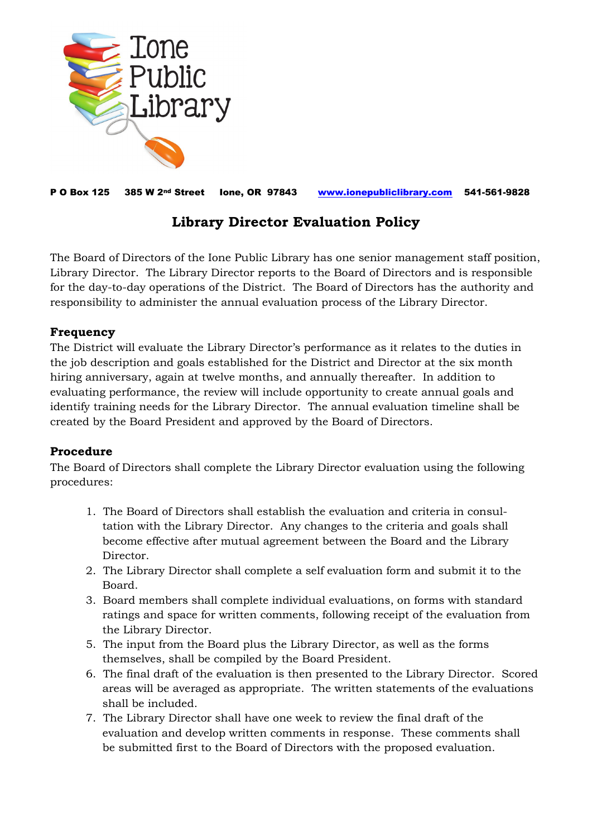

P O Box 125 385 W 2nd Street Ione, OR 97843 [www.ionepubliclibrary.com](http://www.ionepubliclibrary.com/) 541-561-9828

## **Library Director Evaluation Policy**

The Board of Directors of the Ione Public Library has one senior management staff position, Library Director. The Library Director reports to the Board of Directors and is responsible for the day-to-day operations of the District. The Board of Directors has the authority and responsibility to administer the annual evaluation process of the Library Director.

## **Frequency**

The District will evaluate the Library Director's performance as it relates to the duties in the job description and goals established for the District and Director at the six month hiring anniversary, again at twelve months, and annually thereafter. In addition to evaluating performance, the review will include opportunity to create annual goals and identify training needs for the Library Director. The annual evaluation timeline shall be created by the Board President and approved by the Board of Directors.

## **Procedure**

The Board of Directors shall complete the Library Director evaluation using the following procedures:

- 1. The Board of Directors shall establish the evaluation and criteria in consul tation with the Library Director. Any changes to the criteria and goals shall become effective after mutual agreement between the Board and the Library Director.
- 2. The Library Director shall complete a self evaluation form and submit it to the Board.
- 3. Board members shall complete individual evaluations, on forms with standard ratings and space for written comments, following receipt of the evaluation from the Library Director.
- 5. The input from the Board plus the Library Director, as well as the forms themselves, shall be compiled by the Board President.
- 6. The final draft of the evaluation is then presented to the Library Director. Scored areas will be averaged as appropriate. The written statements of the evaluations shall be included.
- 7. The Library Director shall have one week to review the final draft of the evaluation and develop written comments in response. These comments shall be submitted first to the Board of Directors with the proposed evaluation.